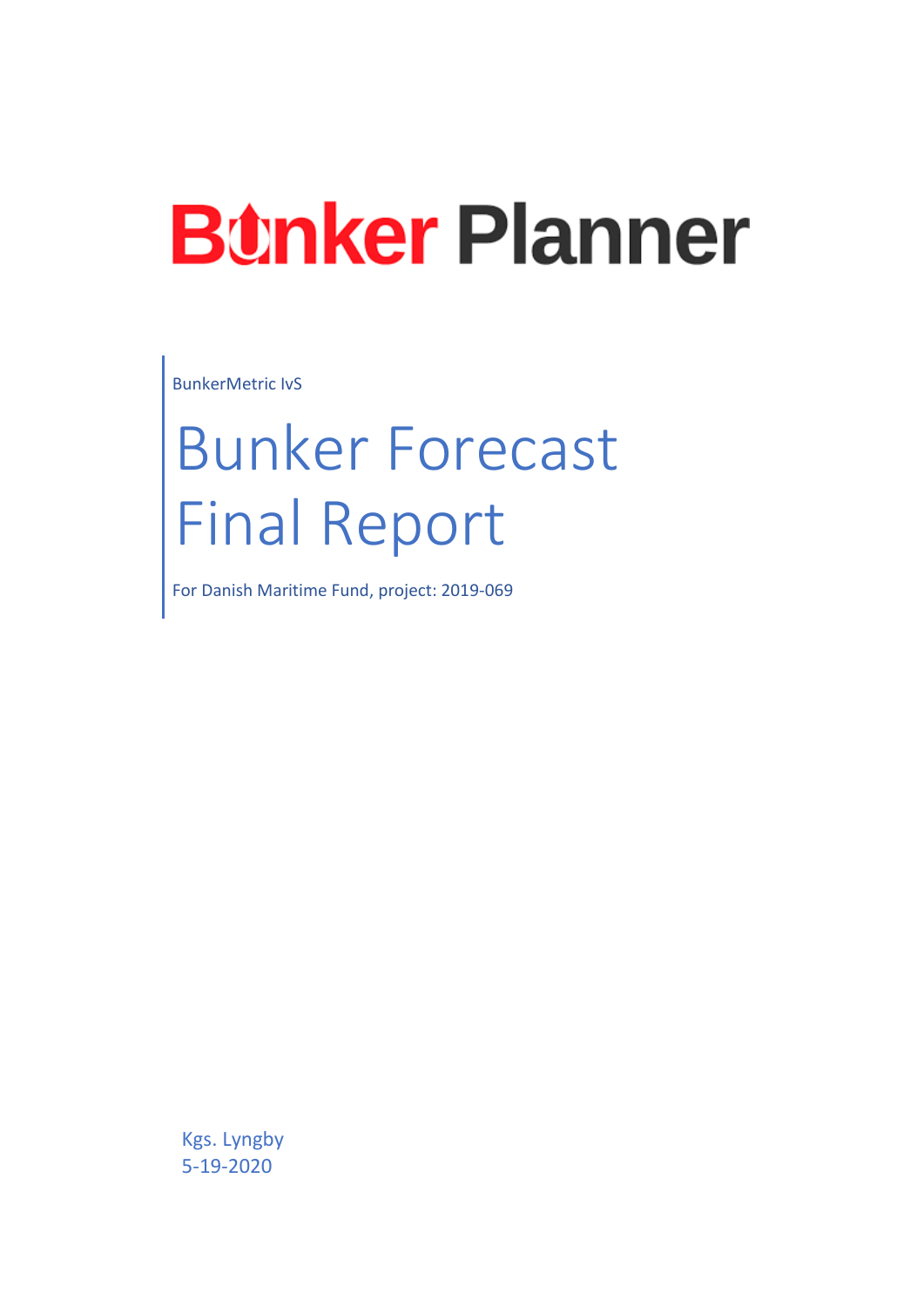# **Bunker Planner**

BunkerMetric IvS

# Bunker Forecast Final Report

For Danish Maritime Fund, project: 2019-069

Kgs. Lyngby 5-19-2020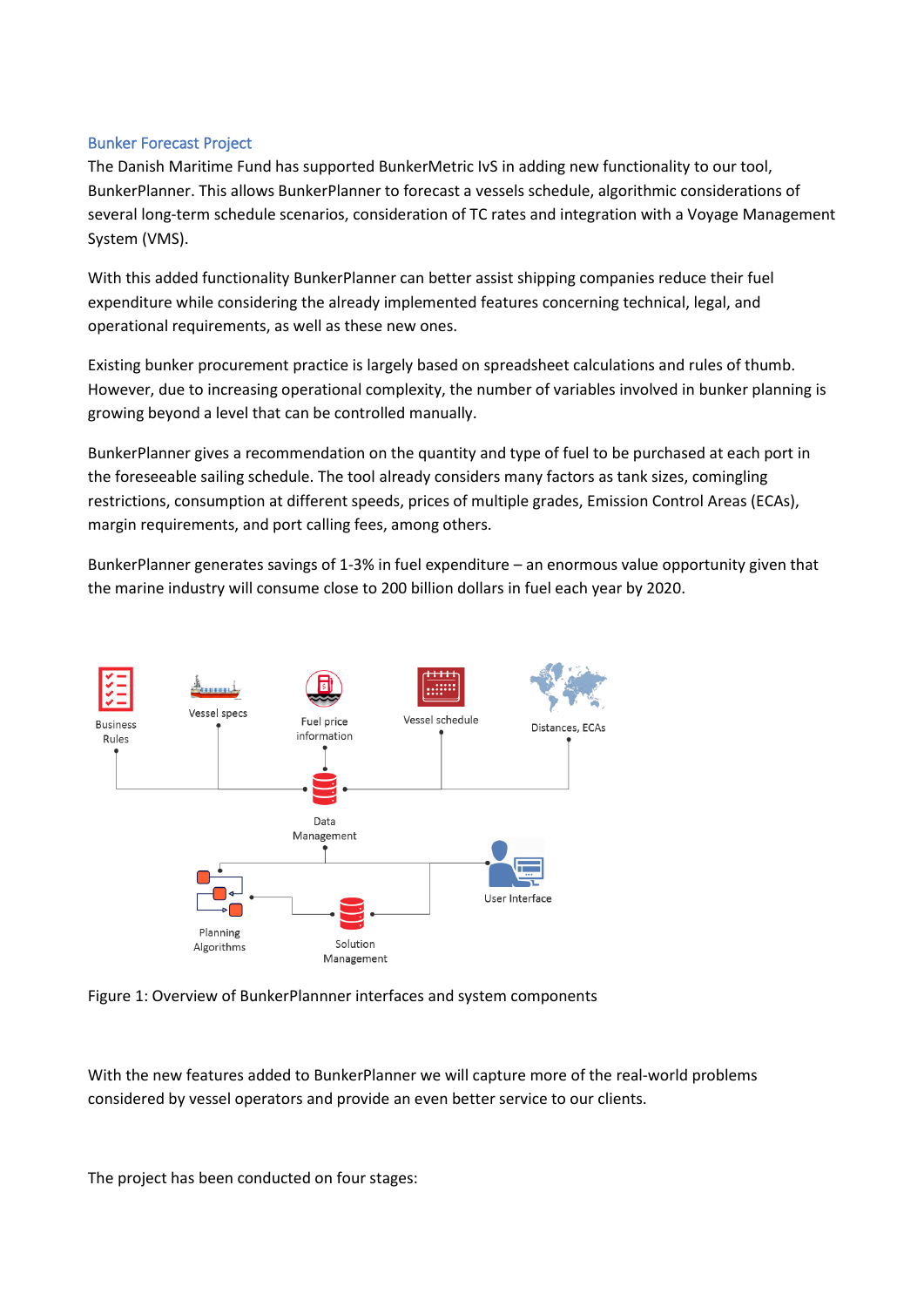### Bunker Forecast Project

The Danish Maritime Fund has supported BunkerMetric IvS in adding new functionality to our tool, BunkerPlanner. This allows BunkerPlanner to forecast a vessels schedule, algorithmic considerations of several long-term schedule scenarios, consideration of TC rates and integration with a Voyage Management System (VMS).

With this added functionality BunkerPlanner can better assist shipping companies reduce their fuel expenditure while considering the already implemented features concerning technical, legal, and operational requirements, as well as these new ones.

Existing bunker procurement practice is largely based on spreadsheet calculations and rules of thumb. However, due to increasing operational complexity, the number of variables involved in bunker planning is growing beyond a level that can be controlled manually.

BunkerPlanner gives a recommendation on the quantity and type of fuel to be purchased at each port in the foreseeable sailing schedule. The tool already considers many factors as tank sizes, comingling restrictions, consumption at different speeds, prices of multiple grades, Emission Control Areas (ECAs), margin requirements, and port calling fees, among others.

BunkerPlanner generates savings of 1-3% in fuel expenditure – an enormous value opportunity given that the marine industry will consume close to 200 billion dollars in fuel each year by 2020.



Figure 1: Overview of BunkerPlannner interfaces and system components

With the new features added to BunkerPlanner we will capture more of the real-world problems considered by vessel operators and provide an even better service to our clients.

The project has been conducted on four stages: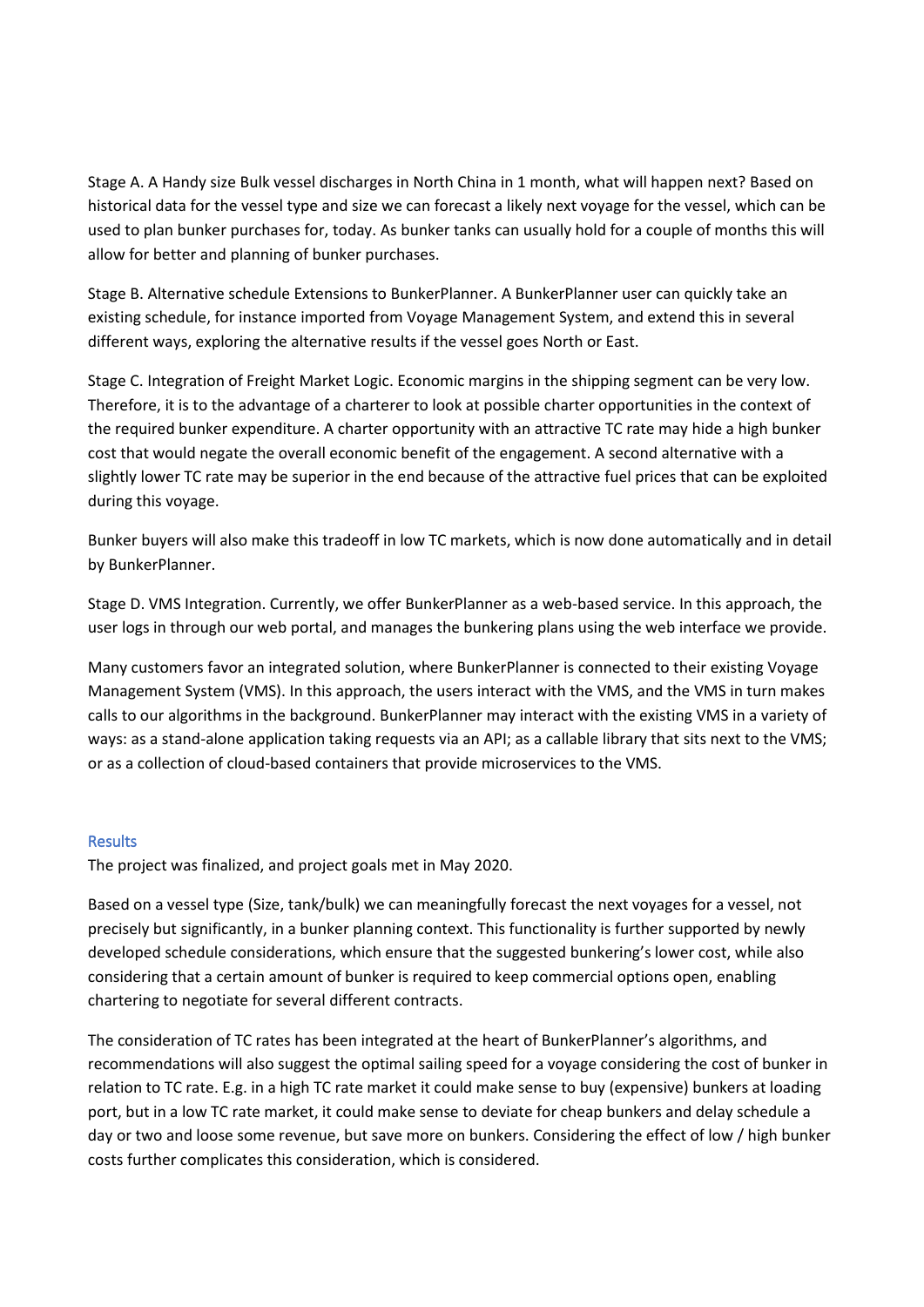Stage A. A Handy size Bulk vessel discharges in North China in 1 month, what will happen next? Based on historical data for the vessel type and size we can forecast a likely next voyage for the vessel, which can be used to plan bunker purchases for, today. As bunker tanks can usually hold for a couple of months this will allow for better and planning of bunker purchases.

Stage B. Alternative schedule Extensions to BunkerPlanner. A BunkerPlanner user can quickly take an existing schedule, for instance imported from Voyage Management System, and extend this in several different ways, exploring the alternative results if the vessel goes North or East.

Stage C. Integration of Freight Market Logic. Economic margins in the shipping segment can be very low. Therefore, it is to the advantage of a charterer to look at possible charter opportunities in the context of the required bunker expenditure. A charter opportunity with an attractive TC rate may hide a high bunker cost that would negate the overall economic benefit of the engagement. A second alternative with a slightly lower TC rate may be superior in the end because of the attractive fuel prices that can be exploited during this voyage.

Bunker buyers will also make this tradeoff in low TC markets, which is now done automatically and in detail by BunkerPlanner.

Stage D. VMS Integration. Currently, we offer BunkerPlanner as a web-based service. In this approach, the user logs in through our web portal, and manages the bunkering plans using the web interface we provide.

Many customers favor an integrated solution, where BunkerPlanner is connected to their existing Voyage Management System (VMS). In this approach, the users interact with the VMS, and the VMS in turn makes calls to our algorithms in the background. BunkerPlanner may interact with the existing VMS in a variety of ways: as a stand-alone application taking requests via an API; as a callable library that sits next to the VMS; or as a collection of cloud-based containers that provide microservices to the VMS.

# **Results**

The project was finalized, and project goals met in May 2020.

Based on a vessel type (Size, tank/bulk) we can meaningfully forecast the next voyages for a vessel, not precisely but significantly, in a bunker planning context. This functionality is further supported by newly developed schedule considerations, which ensure that the suggested bunkering's lower cost, while also considering that a certain amount of bunker is required to keep commercial options open, enabling chartering to negotiate for several different contracts.

The consideration of TC rates has been integrated at the heart of BunkerPlanner's algorithms, and recommendations will also suggest the optimal sailing speed for a voyage considering the cost of bunker in relation to TC rate. E.g. in a high TC rate market it could make sense to buy (expensive) bunkers at loading port, but in a low TC rate market, it could make sense to deviate for cheap bunkers and delay schedule a day or two and loose some revenue, but save more on bunkers. Considering the effect of low / high bunker costs further complicates this consideration, which is considered.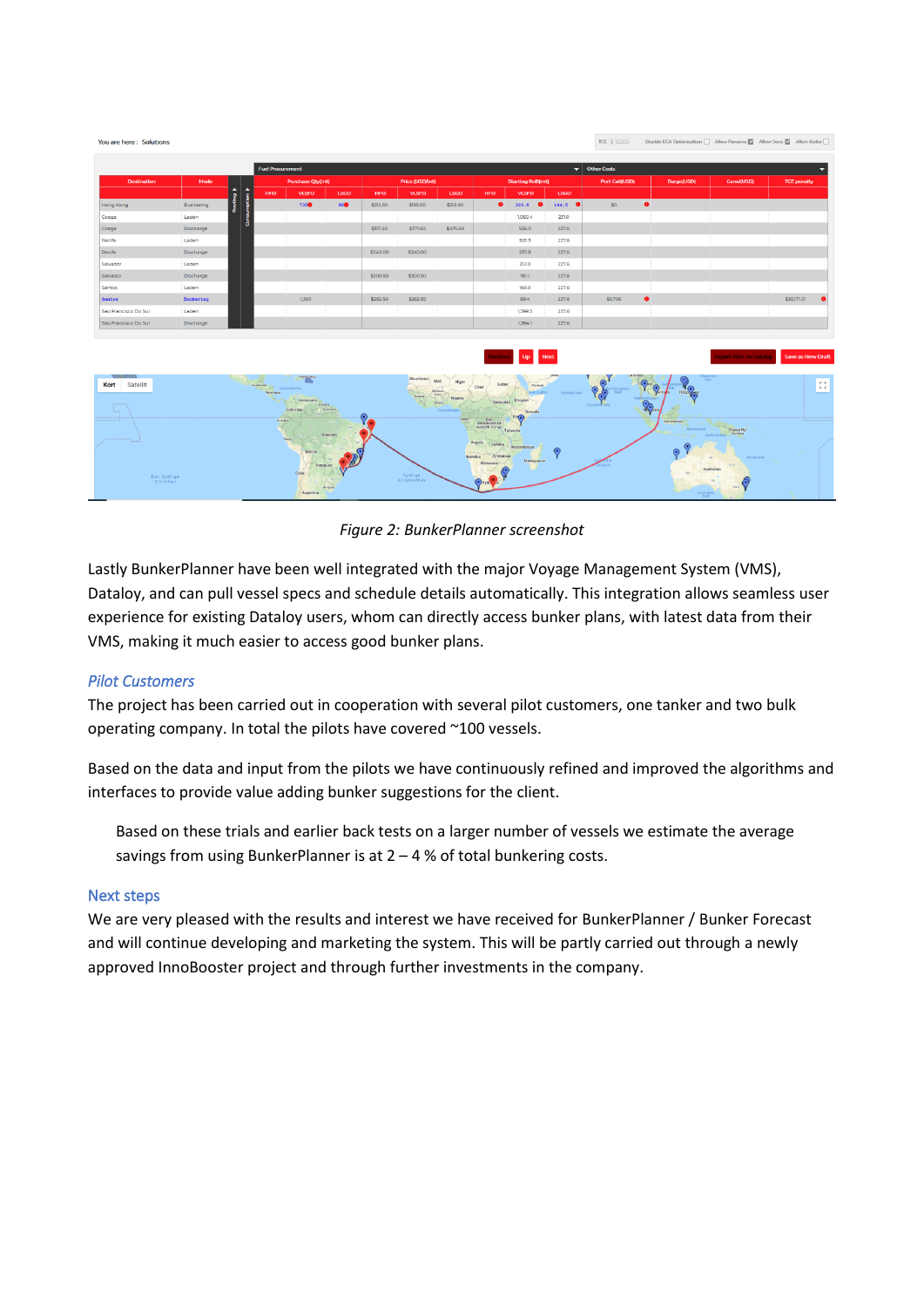| <b>Destination</b>   | Mode      |                                      | <b>Fuel Procurement</b>      |                                      |                      |                       |                                     |                                              |                                                            | ▾<br><b>Other Costs</b>                 |                    |                       |                                            |                                         |                    |  |
|----------------------|-----------|--------------------------------------|------------------------------|--------------------------------------|----------------------|-----------------------|-------------------------------------|----------------------------------------------|------------------------------------------------------------|-----------------------------------------|--------------------|-----------------------|--------------------------------------------|-----------------------------------------|--------------------|--|
|                      |           |                                      | <b>Purchase Qty(mt)</b>      |                                      |                      | <b>Price (USD/mt)</b> |                                     |                                              | <b>Starting RoB(mt)</b>                                    |                                         |                    | <b>Port Call(USD)</b> | Barge(USD)                                 | Canal(USD)                              | <b>TCE penalty</b> |  |
|                      |           | $\blacktriangle$<br>$\blacktriangle$ | <b>HFO</b>                   | <b>VLSFO</b>                         | <b>LSGO</b>          | <b>HFO</b>            | <b>VLSFO</b>                        | <b>LSGO</b>                                  | <b>HFO</b>                                                 | <b>VLSFO</b>                            | <b>LSGO</b>        |                       |                                            |                                         |                    |  |
| Hong Kong            | Bunkering | Routing<br>imption                   |                              | 730                                  | 880                  | \$212.50              | \$195.00                            | \$215.00                                     | $\bullet$                                                  | $\bullet$<br>329.9                      | 144.5<br>$\bullet$ | \$0                   | $\bullet$                                  |                                         |                    |  |
| Coega                | Laden     |                                      |                              |                                      |                      |                       |                                     |                                              |                                                            | 1,060.4                                 | 231.0              |                       |                                            |                                         |                    |  |
| Coega                | Discharge | 8                                    |                              |                                      |                      | \$371.50              | \$371.50                            | \$475.50                                     |                                                            | 536.0                                   | 227.6              |                       |                                            |                                         |                    |  |
| Recife               | Laden     |                                      |                              |                                      |                      |                       |                                     |                                              |                                                            | 523.3                                   | 227.6              |                       |                                            |                                         |                    |  |
| Recife               | Discharge |                                      |                              |                                      |                      | \$340.00              | \$340.00                            |                                              |                                                            | 237.8                                   | 227.6              |                       |                                            |                                         |                    |  |
| Salvador             | Laden     |                                      |                              |                                      |                      |                       |                                     |                                              |                                                            | 212.0                                   | 227.6              |                       |                                            |                                         |                    |  |
| Salvador             | Discharge |                                      |                              |                                      |                      | \$300.50              | \$300.50                            |                                              |                                                            | 181.1                                   | 227.6              |                       |                                            |                                         |                    |  |
| Santos               | Laden     |                                      |                              |                                      |                      |                       |                                     |                                              |                                                            | 169.0                                   | 227.6              |                       |                                            |                                         |                    |  |
| Santos               | Bunkering |                                      |                              | 1,305                                |                      | \$262.50              | \$262.50                            |                                              |                                                            | 99.4                                    | 227.6              | \$5,706               | $\bullet$                                  |                                         | \$33,171.01        |  |
| Sao Francisco Do Sul | Laden     |                                      |                              |                                      |                      |                       |                                     |                                              |                                                            | 1,399.5                                 | 227.6              |                       |                                            |                                         |                    |  |
| Sao Francisco Do Sul | Discharge |                                      |                              |                                      |                      |                       |                                     |                                              |                                                            | 1,384.1                                 | 227.6              |                       |                                            |                                         |                    |  |
| Satellit<br>Kort     |           |                                      | <b>Cultures of Catalogue</b> | <b>Puerto Rico</b><br>Venezuela      |                      |                       | Mauritania<br>$C_{\text{co}}$<br>hi | Mali<br>Niger<br>Burkina<br>Nigeria<br>Ghana | <b>Tevious</b><br>Sudan<br>Chad                            | Up Next<br>Yemen<br>Etiopien            | Arabiska Hav       |                       | ilgpins                                    | <b>Export Plan To Datalov</b><br>Hav    | Save as New Draft  |  |
|                      |           |                                      | Ecuador                      | Gyymne.<br>Colombia                  | Suthame<br>Brasilien | $\bullet$             |                                     | Guineabuzte                                  | Sydsudan,<br>Den<br>demokratiske<br>republik Congo         | Somalia<br>Ker <sub>a</sub><br>Tanzania |                    |                       | $\mathbb{R}$<br>Infonesien<br>Bandaharet j | Papua Ny<br>Arab eathaven               | ---------          |  |
|                      |           |                                      |                              | Peru<br>Bolivia<br>Paraguay<br>Chile |                      |                       |                                     |                                              | Atgola<br>Zambia<br>Zimbabwe<br>Namibia<br><b>Botswang</b> | Mozambique<br>Madagascar                | $\odot$            | Fic o<br>Ocean        | $\bigodot$<br>yes.                         | <b>Koralhavet</b><br>OLD.<br>Australien |                    |  |

*Figure 2: BunkerPlanner screenshot*

Lastly BunkerPlanner have been well integrated with the major Voyage Management System (VMS), Dataloy, and can pull vessel specs and schedule details automatically. This integration allows seamless user experience for existing Dataloy users, whom can directly access bunker plans, with latest data from their VMS, making it much easier to access good bunker plans.

# *Pilot Customers*

You are here: Solutions

The project has been carried out in cooperation with several pilot customers, one tanker and two bulk operating company. In total the pilots have covered ~100 vessels.

Based on the data and input from the pilots we have continuously refined and improved the algorithms and interfaces to provide value adding bunker suggestions for the client.

Based on these trials and earlier back tests on a larger number of vessels we estimate the average savings from using BunkerPlanner is at 2 – 4 % of total bunkering costs.

### Next steps

We are very pleased with the results and interest we have received for BunkerPlanner / Bunker Forecast and will continue developing and marketing the system. This will be partly carried out through a newly approved InnoBooster project and through further investments in the company.